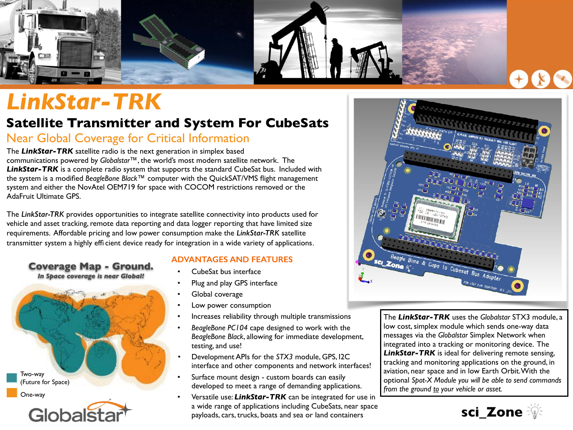

## *LinkStar-TRK*

## **Satellite Transmitter and System For CubeSats**

### Near Global Coverage for Critical Information

The *LinkStar-TRK* satellite radio is the next generation in simplex based communications powered by *Globalstar™*, the world's most modern satellite network. The **LinkStar-TRK** is a complete radio system that supports the standard CubeSat bus. Included with the system is a modified *BeagleBone Black™* computer with the QuickSAT/VMS flight management system and either the NovAtel OEM719 for space with COCOM restrictions removed or the AdaFruit Ultimate GPS.

The *LinkStar-TRK* provides opportunities to integrate satellite connectivity into products used for vehicle and asset tracking, remote data reporting and data logger reporting that have limited size requirements. Affordable pricing and low power consumption make the *LinkStar-TRK* satellite transmitter system a highly effi cient device ready for integration in a wide variety of applications.

## **Coverage Map - Ground.**

*In Space coverage is near Global!*



#### **ADVANTAGES AND FEATURES**

- CubeSat bus interface
- Plug and play GPS interface
- Global coverage
- Low power consumption
- Increases reliability through multiple transmissions
- *BeagleBone PC104* cape designed to work with the *BeagleBone Black*, allowing for immediate development, testing, and use!
- Development APIs for the *STX3* module, GPS, I2C interface and other components and network interfaces!
- Surface mount design custom boards can easily developed to meet a range of demanding applications.
- Versatile use: *LinkStar-TRK* can be integrated for use in a wide range of applications including CubeSats, near space payloads, cars, trucks, boats and sea or land containers



The *LinkStar-TRK* uses the *Globalstar* STX3 module, a low cost, simplex module which sends one-way data messages via the *Globalstar* Simplex Network when integrated into a tracking or monitoring device. The *LinkStar-TRK* is ideal for delivering remote sensing, tracking and monitoring applications on the ground, in aviation, near space and in low Earth Orbit. With the optional *Spot-X Module you will be able to send commands from the ground to your vehicle or asset.*